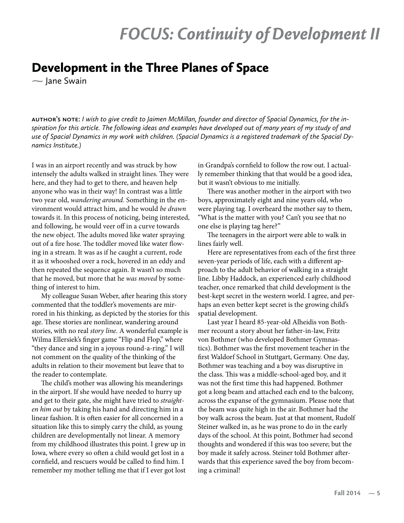## *FOCUS: Continuity of Development II*

# Development in the Three Planes of Space **-** Jane Swain

**author's note:** *I wish to give credit to Jaimen McMillan, founder and director of Spacial Dynamics, for the inspiration for this article. The following ideas and examples have developed out of many years of my study of and use of Spacial Dynamics in my work with children. (Spacial Dynamics is a registered trademark of the Spacial Dynamics Institute.)*

I was in an airport recently and was struck by how intensely the adults walked in straight lines. They were here, and they had to get to there, and heaven help anyone who was in their way! In contrast was a little two year old, wandering around. Something in the environment would attract him, and he would be drawn towards it. In this process of noticing, being interested, and following, he would veer off in a curve towards the new object. The adults moved like water spraying out of a fire hose. The toddler moved like water flowing in a stream. It was as if he caught a current, rode it as it whooshed over a rock, hovered in an eddy and then repeated the sequence again. It wasn't so much that he moved, but more that he was moved by something of interest to him.

My colleague Susan Weber, after hearing this story commented that the toddler's movements are mirrored in his thinking, as depicted by the stories for this age. These stories are nonlinear, wandering around stories, with no real story line. A wonderful example is Wilma Ellersiek's finger game "Flip and Flop," where "they dance and sing in a joyous round-a-ring." I will not comment on the quality of the thinking of the adults in relation to their movement but leave that to the reader to contemplate.

The child's mother was allowing his meanderings in the airport. If she would have needed to hurry up and get to their gate, she might have tried to straighten him out by taking his hand and directing him in a linear fashion. It is often easier for all concerned in a situation like this to simply carry the child, as young children are developmentally not linear. A memory from my childhood illustrates this point. I grew up in Iowa, where every so often a child would get lost in a cornfield, and rescuers would be called to find him. I remember my mother telling me that if I ever got lost

in Grandpa's cornfield to follow the row out. I actually remember thinking that that would be a good idea, but it wasn't obvious to me initially.

There was another mother in the airport with two boys, approximately eight and nine years old, who were playing tag. I overheard the mother say to them, "What is the matter with you? Can't you see that no one else is playing tag here?"

The teenagers in the airport were able to walk in lines fairly well.

Here are representatives from each of the first three seven-year periods of life, each with a different approach to the adult behavior of walking in a straight line. Libby Haddock, an experienced early childhood teacher, once remarked that child development is the best-kept secret in the western world. I agree, and perhaps an even better kept secret is the growing child's spatial development.

Last year I heard 85-year-old Alheidis von Bothmer recount a story about her father-in-law, Fritz von Bothmer (who developed Bothmer Gymnastics). Bothmer was the first movement teacher in the first Waldorf School in Stuttgart, Germany. One day, Bothmer was teaching and a boy was disruptive in the class. This was a middle-school-aged boy, and it was not the first time this had happened. Bothmer got a long beam and attached each end to the balcony, across the expanse of the gymnasium. Please note that the beam was quite high in the air. Bothmer had the boy walk across the beam. Just at that moment, Rudolf Steiner walked in, as he was prone to do in the early days of the school. At this point, Bothmer had second thoughts and wondered if this was too severe; but the boy made it safely across. Steiner told Bothmer afterwards that this experience saved the boy from becoming a criminal!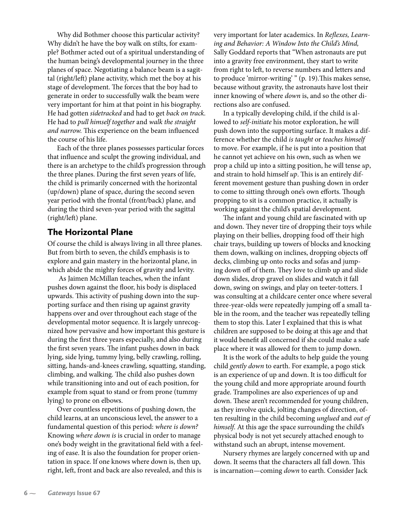Why did Bothmer choose this particular activity? Why didn't he have the boy walk on stilts, for example? Bothmer acted out of a spiritual understanding of the human being's developmental journey in the three planes of space. Negotiating a balance beam is a sagittal (right/left) plane activity, which met the boy at his stage of development. The forces that the boy had to generate in order to successfully walk the beam were very important for him at that point in his biography. He had gotten sidetracked and had to get back on track. He had to pull himself together and walk the straight and narrow. This experience on the beam influenced the course of his life.

Each of the three planes possesses particular forces that influence and sculpt the growing individual, and there is an archetype to the child's progression through the three planes. During the first seven years of life, the child is primarily concerned with the horizontal (up/down) plane of space, during the second seven year period with the frontal (front/back) plane, and during the third seven-year period with the sagittal (right/left) plane.

Of course the child is always living in all three planes. But from birth to seven, the child's emphasis is to explore and gain mastery in the horizontal plane, in which abide the mighty forces of gravity and levity.

 As Jaimen McMillan teaches, when the infant pushes down against the floor, his body is displaced upwards. This activity of pushing down into the supporting surface and then rising up against gravity happens over and over throughout each stage of the developmental motor sequence. It is largely unrecognized how pervasive and how important this gesture is during the first three years especially, and also during the first seven years. The infant pushes down in back lying, side lying, tummy lying, belly crawling, rolling, sitting, hands-and-knees crawling, squatting, standing, climbing, and walking. The child also pushes down while transitioning into and out of each position, for example from squat to stand or from prone (tummy lying) to prone on elbows.

Over countless repetitions of pushing down, the child learns, at an unconscious level, the answer to a fundamental question of this period: where is down? Knowing where down is is crucial in order to manage one's body weight in the gravitational field with a feeling of ease. It is also the foundation for proper orientation in space. If one knows where down is, then up, right, left, front and back are also revealed, and this is

very important for later academics. In Reflexes, Learning and Behavior: A Window Into the Child's Mind, Sally Goddard reports that "When astronauts are put into a gravity free environment, they start to write from right to left, to reverse numbers and letters and to produce 'mirror-writing' " (p. 19).This makes sense, because without gravity, the astronauts have lost their inner knowing of where down is, and so the other directions also are confused.

In a typically developing child, if the child is allowed to self-initiate his motor exploration, he will push down into the supporting surface. It makes a difference whether the child is taught or teaches himself to move. For example, if he is put into a position that he cannot yet achieve on his own, such as when we prop a child up into a sitting position, he will tense up, and strain to hold himself  $up$ . This is an entirely different movement gesture than pushing down in order to come to sitting through one's own efforts. Though propping to sit is a common practice, it actually is working against the child's spatial development.

The infant and young child are fascinated with up and down. They never tire of dropping their toys while playing on their bellies, dropping food off their high chair trays, building up towers of blocks and knocking them down, walking on inclines, dropping objects off decks, climbing up onto rocks and sofas and jumping down off of them. They love to climb up and slide down slides, drop gravel on slides and watch it fall down, swing on swings, and play on teeter-totters. I was consulting at a childcare center once where several three-year-olds were repeatedly jumping off a small table in the room, and the teacher was repeatedly telling them to stop this. Later I explained that this is what children are supposed to be doing at this age and that it would benefit all concerned if she could make a safe place where it was allowed for them to jump down.

It is the work of the adults to help guide the young child gently down to earth. For example, a pogo stick is an experience of up and down. It is too difficult for the young child and more appropriate around fourth grade. Trampolines are also experiences of up and down. These aren't recommended for young children, as they involve quick, jolting changes of direction, often resulting in the child becoming unglued and out of himself. At this age the space surrounding the child's physical body is not yet securely attached enough to withstand such an abrupt, intense movement.

Nursery rhymes are largely concerned with up and down. It seems that the characters all fall down. This is incarnation—coming *down* to earth. Consider Jack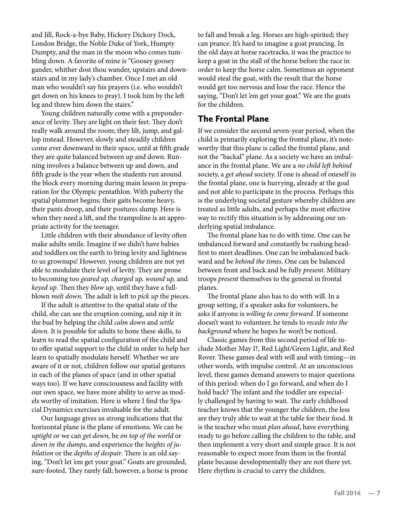and Jill, Rock-a-bye Baby, Hickory Dickory Dock, London Bridge, the Noble Duke of York, Humpty Dumpty, and the man in the moon who comes tumbling down. A favorite of mine is "Goosey goosey gander, whither dost thou wander, upstairs and downstairs and in my lady's chamber. Once I met an old man who wouldn't say his prayers (i.e. who wouldn't get down on his knees to pray). I took him by the left leg and threw him down the stairs."

Young children naturally come with a preponderance of levity. They are light on their feet. They don't really walk around the room; they lilt, jump, and gallop instead. However, slowly and steadily children come ever downward in their space, until at fifth grade they are quite balanced between up and down. Running involves a balance between up and down, and fifth grade is the year when the students run around the block every morning during main lesson in preparation for the Olympic pentathlon. With puberty the spatial plummet begins; their gaits become heavy, their pants droop, and their postures slump. Here is when they need a lift, and the trampoline is an appropriate activity for the teenager.

Little children with their abundance of levity often make adults smile. Imagine if we didn't have babies and toddlers on the earth to bring levity and lightness to us grownups! However, young children are not yet able to modulate their level of levity. They are prone to becoming too geared up, charged up, wound up, and keyed up. Then they blow up, until they have a fullblown *melt down*. The adult is left to *pick up* the pieces.

If the adult is attentive to the spatial state of the child, she can see the eruption coming, and nip it in the bud by helping the child calm down and settle down. It is possible for adults to hone these skills, to learn to read the spatial configuration of the child and to offer spatial support to the child in order to help her learn to spatially modulate herself. Whether we are aware of it or not, children follow our spatial gestures in each of the planes of space (and in other spatial ways too). If we have consciousness and facility with our own space, we have more ability to serve as models worthy of imitation. Here is where I find the Spacial Dynamics exercises invaluable for the adult.

Our language gives us strong indications that the horizontal plane is the plane of emotions. We can be uptight or we can get down, be on top of the world or down in the dumps, and experience the heights of jubilation or the depths of despair. There is an old saying, "Don't let 'em get your goat." Goats are grounded, sure-footed. They rarely fall; however, a horse is prone to fall and break a leg. Horses are high-spirited; they can prance. It's hard to imagine a goat prancing. In the old days at horse racetracks, it was the practice to keep a goat in the stall of the horse before the race in order to keep the horse calm. Sometimes an opponent would steal the goat, with the result that the horse would get too nervous and lose the race. Hence the saying, "Don't let 'em get your goat." We are the goats for the children.

If we consider the second seven-year period, when the child is primarily exploring the frontal plane, it's noteworthy that this plane is called the frontal plane, and not the "backal" plane. As a society we have an imbalance in the frontal plane. We are a no child left behind society, a get ahead society. If one is ahead of oneself in the frontal plane, one is hurrying, already at the goal and not able to participate in the process. Perhaps this is the underlying societal gesture whereby children are treated as little adults, and perhaps the most effective way to rectify this situation is by addressing our underlying spatial imbalance.

The frontal plane has to do with time. One can be imbalanced forward and constantly be rushing headfirst to meet deadlines. One can be imbalanced backward and be behind the times. One can be balanced between front and back and be fully present. Military troops present themselves to the general in frontal planes.

The frontal plane also has to do with will. In a group setting, if a speaker asks for volunteers, he asks if anyone is willing to come forward. If someone doesn't want to volunteer, he tends to recede into the background where he hopes he won't be noticed.

Classic games from this second period of life include Mother May I?, Red Light/Green Light, and Red Rover. These games deal with will and with timing—in other words, with impulse control. At an unconscious level, these games demand answers to major questions of this period: when do I go forward, and when do I hold back? The infant and the toddler are especially challenged by having to wait. The early childhood teacher knows that the younger the children, the less are they truly able to wait at the table for their food. It is the teacher who must plan ahead, have everything ready to go before calling the children to the table, and then implement a very short and simple grace. It is not reasonable to expect more from them in the frontal plane because developmentally they are not there yet. Here rhythm is crucial to carry the children.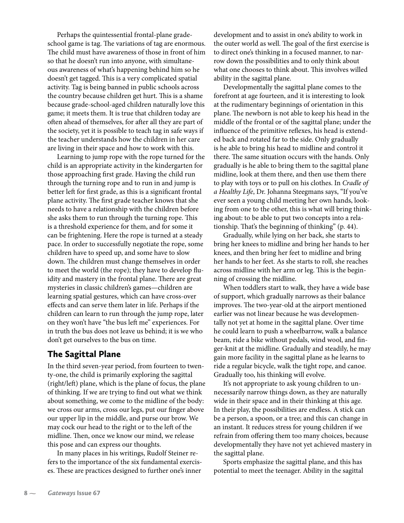Perhaps the quintessential frontal-plane gradeschool game is tag. The variations of tag are enormous. The child must have awareness of those in front of him so that he doesn't run into anyone, with simultaneous awareness of what's happening behind him so he doesn't get tagged. This is a very complicated spatial activity. Tag is being banned in public schools across the country because children get hurt. This is a shame because grade-school-aged children naturally love this game; it meets them. It is true that children today are often ahead of themselves, for after all they are part of the society, yet it is possible to teach tag in safe ways if the teacher understands how the children in her care are living in their space and how to work with this.

Learning to jump rope with the rope turned for the child is an appropriate activity in the kindergarten for those approaching first grade. Having the child run through the turning rope and to run in and jump is better left for first grade, as this is a significant frontal plane activity. The first grade teacher knows that she needs to have a relationship with the children before she asks them to run through the turning rope. This is a threshold experience for them, and for some it can be frightening. Here the rope is turned at a steady pace. In order to successfully negotiate the rope, some children have to speed up, and some have to slow down. The children must change themselves in order to meet the world (the rope); they have to develop fluidity and mastery in the frontal plane. There are great mysteries in classic children's games—children are learning spatial gestures, which can have cross-over effects and can serve them later in life. Perhaps if the children can learn to run through the jump rope, later on they won't have "the bus left me" experiences. For in truth the bus does not leave us behind; it is we who don't get ourselves to the bus on time.

In the third seven-year period, from fourteen to twenty-one, the child is primarily exploring the sagittal (right/left) plane, which is the plane of focus, the plane of thinking. If we are trying to find out what we think about something, we come to the midline of the body: we cross our arms, cross our legs, put our finger above our upper lip in the middle, and purse our brow. We may cock our head to the right or to the left of the midline. Then, once we know our mind, we release this pose and can express our thoughts.

In many places in his writings, Rudolf Steiner refers to the importance of the six fundamental exercises. These are practices designed to further one's inner

development and to assist in one's ability to work in the outer world as well. The goal of the first exercise is to direct one's thinking in a focused manner, to narrow down the possibilities and to only think about what one chooses to think about. This involves willed ability in the sagittal plane.

Developmentally the sagittal plane comes to the forefront at age fourteen, and it is interesting to look at the rudimentary beginnings of orientation in this plane. The newborn is not able to keep his head in the middle of the frontal or of the sagittal plane; under the influence of the primitive reflexes, his head is extended back and rotated far to the side. Only gradually is he able to bring his head to midline and control it there. The same situation occurs with the hands. Only gradually is he able to bring them to the sagittal plane midline, look at them there, and then use them there to play with toys or to pull on his clothes. In Cradle of a Healthy Life, Dr. Johanna Steegmans says, "If you've ever seen a young child meeting her own hands, looking from one to the other, this is what will bring thinking about: to be able to put two concepts into a relationship. That's the beginning of thinking" (p. 44).

Gradually, while lying on her back, she starts to bring her knees to midline and bring her hands to her knees, and then bring her feet to midline and bring her hands to her feet. As she starts to roll, she reaches across midline with her arm or leg. This is the beginning of crossing the midline.

When toddlers start to walk, they have a wide base of support, which gradually narrows as their balance improves. The two-year-old at the airport mentioned earlier was not linear because he was developmentally not yet at home in the sagittal plane. Over time he could learn to push a wheelbarrow, walk a balance beam, ride a bike without pedals, wind wool, and finger-knit at the midline. Gradually and steadily, he may gain more facility in the sagittal plane as he learns to ride a regular bicycle, walk the tight rope, and canoe. Gradually too, his thinking will evolve.

It's not appropriate to ask young children to unnecessarily narrow things down, as they are naturally wide in their space and in their thinking at this age. In their play, the possibilities are endless. A stick can be a person, a spoon, or a tree; and this can change in an instant. It reduces stress for young children if we refrain from offering them too many choices, because developmentally they have not yet achieved mastery in the sagittal plane.

Sports emphasize the sagittal plane, and this has potential to meet the teenager. Ability in the sagittal